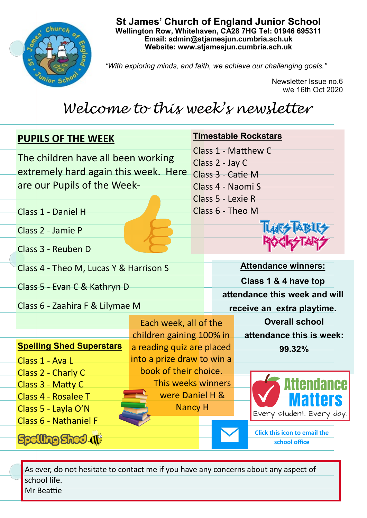

**St James' Church of England Junior School Wellington Row, Whitehaven, CA28 7HG Tel: 01946 695311 Email: admin@stjamesjun.cumbria.sch.uk Website: www.stjamesjun.cumbria.sch.uk**

*"With exploring minds, and faith, we achieve our challenging goals."*

Newsletter Issue no.6 w/e 16th Oct 2020

## *Welcome to this week's newsletter*

| <b>PUPILS OF THE WEEK</b>                                    |                                                            |                            | <b>Timestable Rockstars</b>          |                                                      |  |
|--------------------------------------------------------------|------------------------------------------------------------|----------------------------|--------------------------------------|------------------------------------------------------|--|
| The children have all been working                           |                                                            |                            | Class 1 - Matthew C                  |                                                      |  |
| extremely hard again this week. Here                         |                                                            |                            | Class 2 - Jay C<br>Class 3 - Catie M |                                                      |  |
| are our Pupils of the Week-                                  |                                                            |                            | Class 4 - Naomi S                    |                                                      |  |
|                                                              |                                                            |                            | Class 5 - Lexie R                    |                                                      |  |
|                                                              | Class 1 - Daniel H                                         |                            | Class 6 - Theo M                     |                                                      |  |
|                                                              | Class 2 - Jamie P                                          |                            |                                      |                                                      |  |
|                                                              | Class 3 - Reuben D                                         |                            |                                      |                                                      |  |
| Class 4 - Theo M, Lucas Y & Harrison S                       |                                                            |                            |                                      | <b>Attendance winners:</b>                           |  |
| Class 5 - Evan C & Kathryn D                                 |                                                            |                            | Class 1 & 4 have top                 |                                                      |  |
|                                                              |                                                            |                            | attendance this week and will        |                                                      |  |
| Class 6 - Zaahira F & Lilymae M                              |                                                            |                            | receive an extra playtime.           |                                                      |  |
|                                                              |                                                            | Each week, all of the      |                                      | <b>Overall school</b>                                |  |
|                                                              |                                                            | children gaining 100% in   |                                      | attendance this is week:                             |  |
|                                                              | <b>Spelling Shed Superstars</b>                            | a reading quiz are placed  |                                      | 99.32%                                               |  |
|                                                              | Class 1 - Ava L                                            | into a prize draw to win a |                                      |                                                      |  |
|                                                              | Class 2 - Charly C                                         | book of their choice.      |                                      |                                                      |  |
|                                                              | This weeks winners<br>Class 3 - Matty C<br>were Daniel H & |                            |                                      | ttendance                                            |  |
| Class 4 - Rosalee T<br><b>Nancy H</b><br>Class 5 - Layla O'N |                                                            |                            |                                      | amars                                                |  |
|                                                              | Class 6 - Nathaniel F                                      |                            |                                      | Every student. Every day.                            |  |
|                                                              |                                                            |                            |                                      | <b>Click this icon to email the</b><br>school office |  |

As ever, do not hesitate to contact me if you have any concerns about any aspect of school life.

Mr Beattie